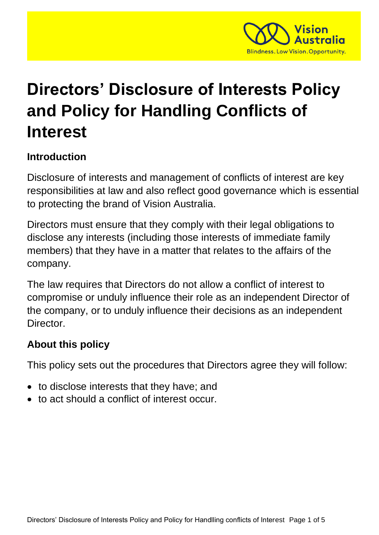

# **Directors' Disclosure of Interests Policy and Policy for Handling Conflicts of Interest**

#### **Introduction**

Disclosure of interests and management of conflicts of interest are key responsibilities at law and also reflect good governance which is essential to protecting the brand of Vision Australia.

Directors must ensure that they comply with their legal obligations to disclose any interests (including those interests of immediate family members) that they have in a matter that relates to the affairs of the company.

The law requires that Directors do not allow a conflict of interest to compromise or unduly influence their role as an independent Director of the company, or to unduly influence their decisions as an independent Director.

#### **About this policy**

This policy sets out the procedures that Directors agree they will follow:

- to disclose interests that they have; and
- to act should a conflict of interest occur.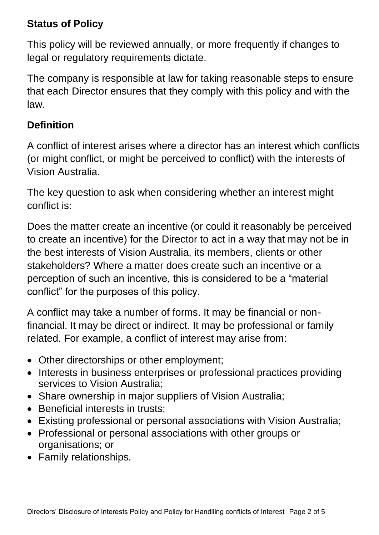#### **Status of Policy**

This policy will be reviewed annually, or more frequently if changes to legal or regulatory requirements dictate.

The company is responsible at law for taking reasonable steps to ensure that each Director ensures that they comply with this policy and with the law.

#### **Definition**

A conflict of interest arises where a director has an interest which conflicts (or might conflict, or might be perceived to conflict) with the interests of Vision Australia.

The key question to ask when considering whether an interest might conflict is:

Does the matter create an incentive (or could it reasonably be perceived to create an incentive) for the Director to act in a way that may not be in the best interests of Vision Australia, its members, clients or other stakeholders? Where a matter does create such an incentive or a perception of such an incentive, this is considered to be a "material conflict" for the purposes of this policy.

A conflict may take a number of forms. It may be financial or nonfinancial. It may be direct or indirect. It may be professional or family related. For example, a conflict of interest may arise from:

- Other directorships or other employment;
- Interests in business enterprises or professional practices providing services to Vision Australia;
- Share ownership in major suppliers of Vision Australia;
- Beneficial interests in trusts:
- Existing professional or personal associations with Vision Australia;
- Professional or personal associations with other groups or organisations; or
- Family relationships.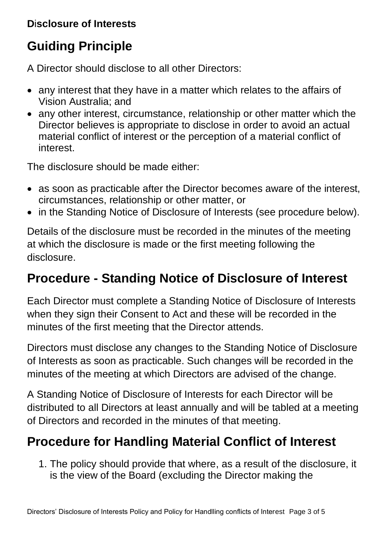#### **D**i**sclosure of Interests**

# **Guiding Principle**

A Director should disclose to all other Directors:

- any interest that they have in a matter which relates to the affairs of Vision Australia; and
- any other interest, circumstance, relationship or other matter which the Director believes is appropriate to disclose in order to avoid an actual material conflict of interest or the perception of a material conflict of interest.

The disclosure should be made either:

- as soon as practicable after the Director becomes aware of the interest, circumstances, relationship or other matter, or
- in the Standing Notice of Disclosure of Interests (see procedure below).

Details of the disclosure must be recorded in the minutes of the meeting at which the disclosure is made or the first meeting following the disclosure.

### **Procedure - Standing Notice of Disclosure of Interest**

Each Director must complete a Standing Notice of Disclosure of Interests when they sign their Consent to Act and these will be recorded in the minutes of the first meeting that the Director attends.

Directors must disclose any changes to the Standing Notice of Disclosure of Interests as soon as practicable. Such changes will be recorded in the minutes of the meeting at which Directors are advised of the change.

A Standing Notice of Disclosure of Interests for each Director will be distributed to all Directors at least annually and will be tabled at a meeting of Directors and recorded in the minutes of that meeting.

## **Procedure for Handling Material Conflict of Interest**

1. The policy should provide that where, as a result of the disclosure, it is the view of the Board (excluding the Director making the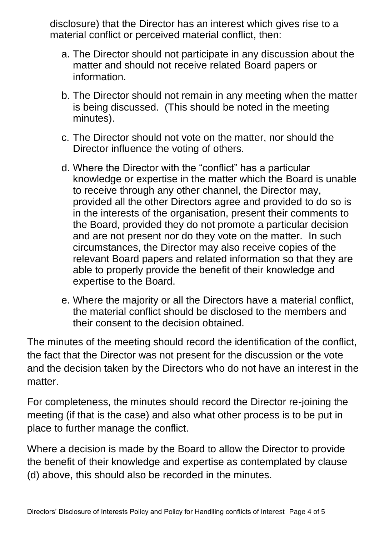disclosure) that the Director has an interest which gives rise to a material conflict or perceived material conflict, then:

- a. The Director should not participate in any discussion about the matter and should not receive related Board papers or information.
- b. The Director should not remain in any meeting when the matter is being discussed. (This should be noted in the meeting minutes).
- c. The Director should not vote on the matter, nor should the Director influence the voting of others.
- d. Where the Director with the "conflict" has a particular knowledge or expertise in the matter which the Board is unable to receive through any other channel, the Director may, provided all the other Directors agree and provided to do so is in the interests of the organisation, present their comments to the Board, provided they do not promote a particular decision and are not present nor do they vote on the matter. In such circumstances, the Director may also receive copies of the relevant Board papers and related information so that they are able to properly provide the benefit of their knowledge and expertise to the Board.
- e. Where the majority or all the Directors have a material conflict, the material conflict should be disclosed to the members and their consent to the decision obtained.

The minutes of the meeting should record the identification of the conflict, the fact that the Director was not present for the discussion or the vote and the decision taken by the Directors who do not have an interest in the matter.

For completeness, the minutes should record the Director re-joining the meeting (if that is the case) and also what other process is to be put in place to further manage the conflict.

Where a decision is made by the Board to allow the Director to provide the benefit of their knowledge and expertise as contemplated by clause (d) above, this should also be recorded in the minutes.